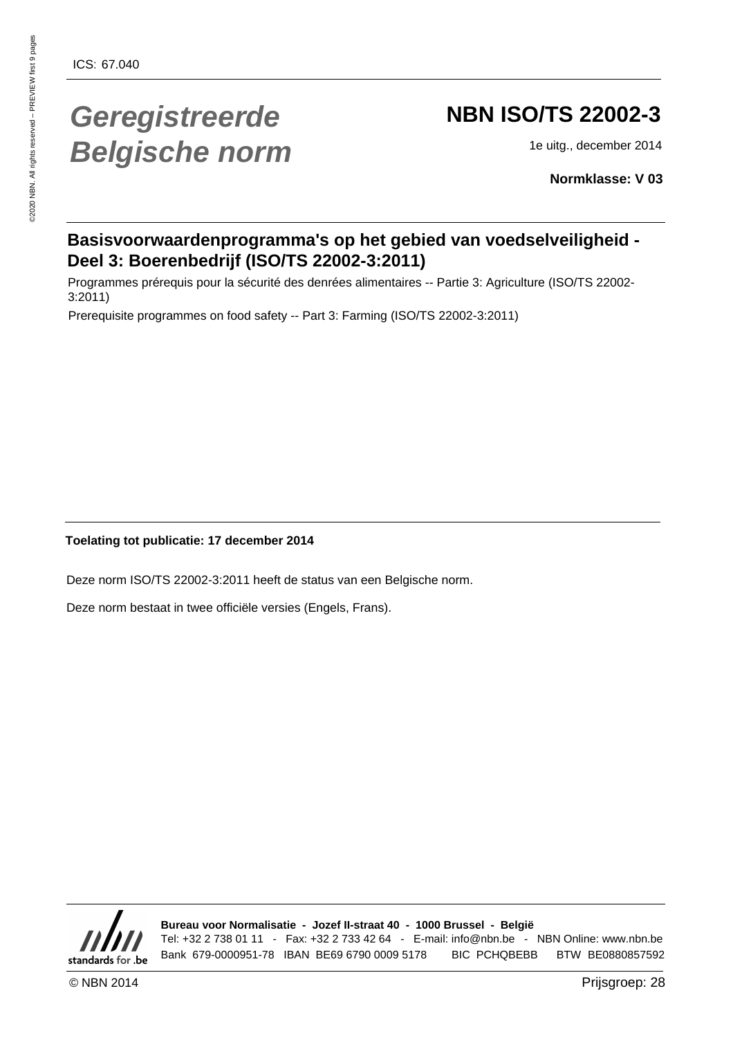# **Geregistreerde Belgische norm**

# **NBN ISO/TS 22002-3**

1e uitg., december 2014

**Normklasse: V 03**

### **Basisvoorwaardenprogramma's op het gebied van voedselveiligheid - Deel 3: Boerenbedrijf (ISO/TS 22002-3:2011)**

Programmes prérequis pour la sécurité des denrées alimentaires -- Partie 3: Agriculture (ISO/TS 22002- 3:2011)

Prerequisite programmes on food safety -- Part 3: Farming (ISO/TS 22002-3:2011)

**Toelating tot publicatie: 17 december 2014**

Deze norm ISO/TS 22002-3:2011 heeft de status van een Belgische norm.

Deze norm bestaat in twee officiële versies (Engels, Frans).



**Bureau voor Normalisatie - Jozef II-straat 40 - 1000 Brussel - België** Tel: +32 2 738 01 11 - Fax: +32 2 733 42 64 - E-mail: info@nbn.be - NBN Online: www.nbn.be Bank 679-0000951-78 IBAN BE69 6790 0009 5178 BIC PCHQBEBB BTW BE0880857592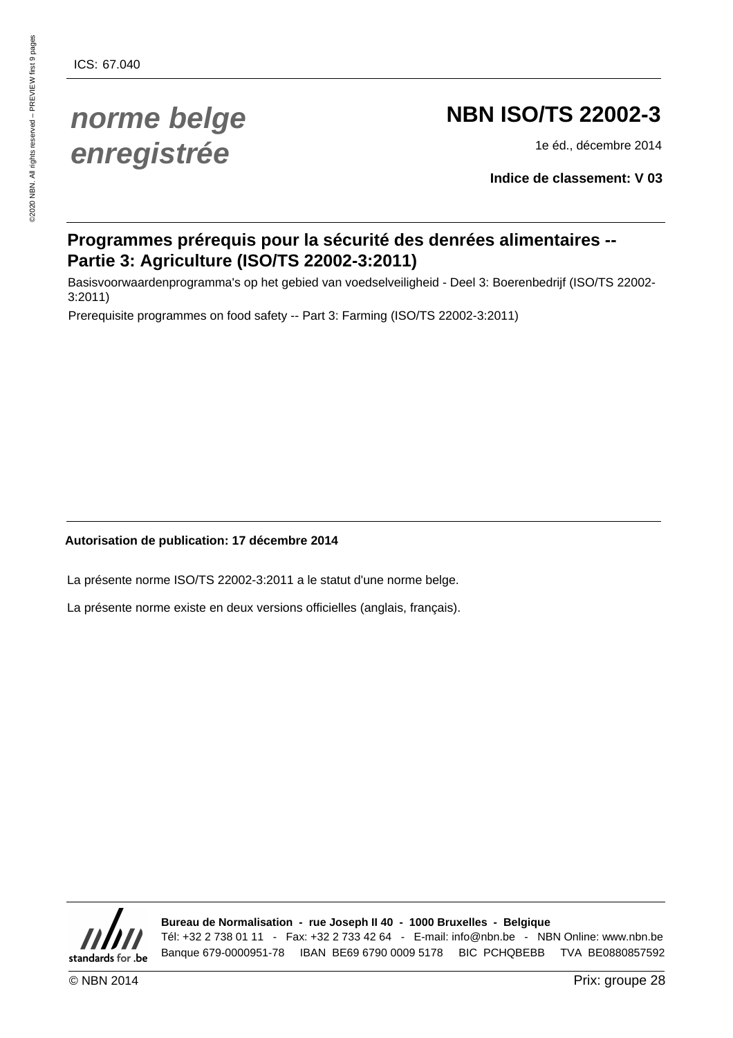# **norme belge enregistrée**

# **NBN ISO/TS 22002-3**

1e éd., décembre 2014

**Indice de classement: V 03**

### **Programmes prérequis pour la sécurité des denrées alimentaires -- Partie 3: Agriculture (ISO/TS 22002-3:2011)**

Basisvoorwaardenprogramma's op het gebied van voedselveiligheid - Deel 3: Boerenbedrijf (ISO/TS 22002- 3:2011)

Prerequisite programmes on food safety -- Part 3: Farming (ISO/TS 22002-3:2011)

#### **Autorisation de publication: 17 décembre 2014**

La présente norme ISO/TS 22002-3:2011 a le statut d'une norme belge.

La présente norme existe en deux versions officielles (anglais, français).



**Bureau de Normalisation - rue Joseph II 40 - 1000 Bruxelles - Belgique** Tél: +32 2 738 01 11 - Fax: +32 2 733 42 64 - E-mail: info@nbn.be - NBN Online: www.nbn.be Banque 679-0000951-78 IBAN BE69 6790 0009 5178 BIC PCHQBEBB TVA BE0880857592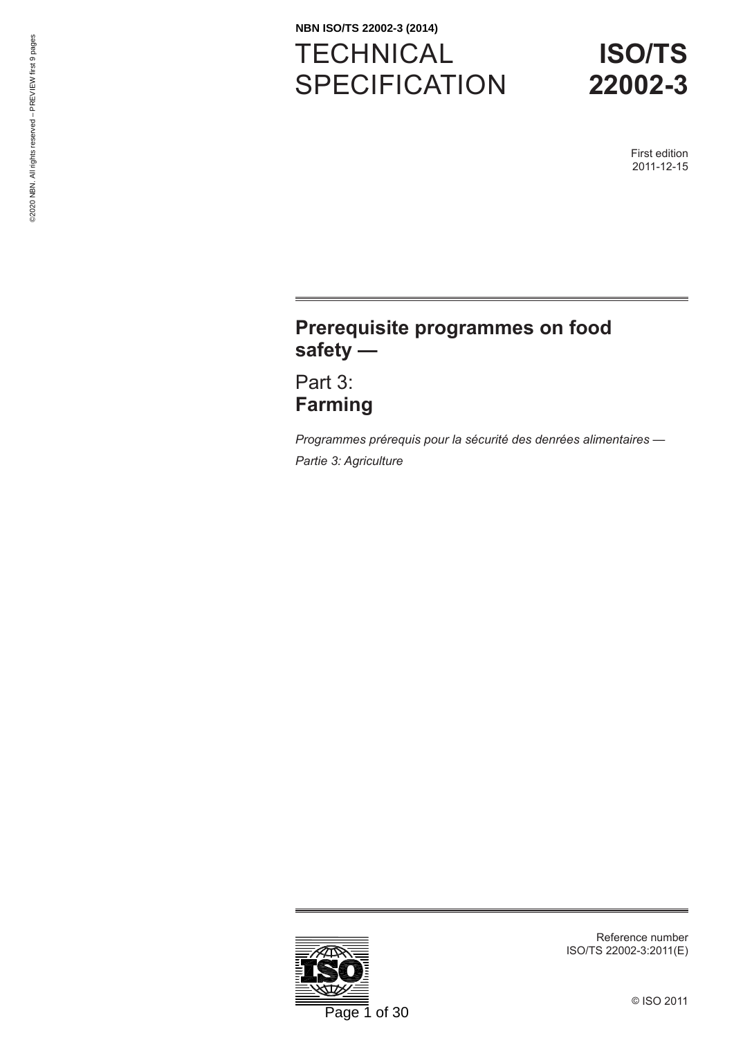# **TECHNICAL** SPECIFICATION **NBN ISO/TS 22002-3 (2014)**

# **ISO/TS 22002-3**

First edition 2011-12-15

## **Prerequisite programmes on food safety —**

Part 3: **Farming**

*Programmes prérequis pour la sécurité des denrées alimentaires — Partie 3: Agriculture*



Reference number ISO/TS 22002-3:2011(E)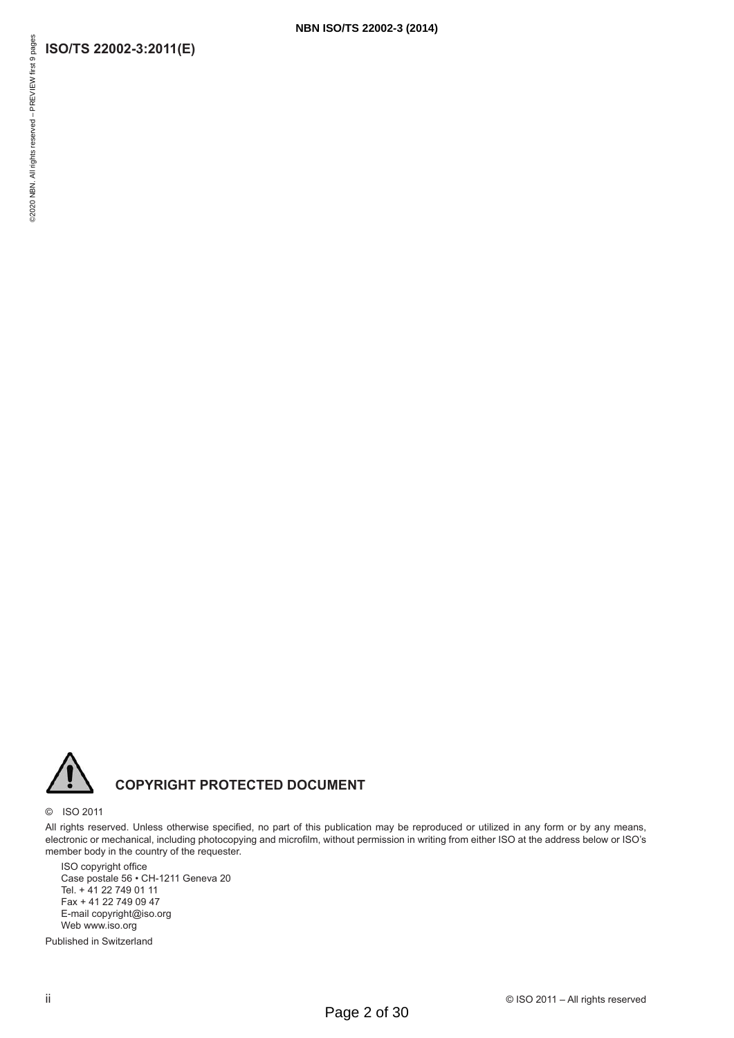#### **ISO/TS 22002-3:2011(E)**



#### **COPYRIGHT PROTECTED DOCUMENT**

#### © ISO 2011

All rights reserved. Unless otherwise specified, no part of this publication may be reproduced or utilized in any form or by any means, electronic or mechanical, including photocopying and microfilm, without permission in writing from either ISO at the address below or ISO's member body in the country of the requester.

ISO copyright office Case postale 56 • CH-1211 Geneva 20 Tel. + 41 22 749 01 11 Fax + 41 22 749 09 47 E-mail copyright@iso.org Web www.iso.org

Published in Switzerland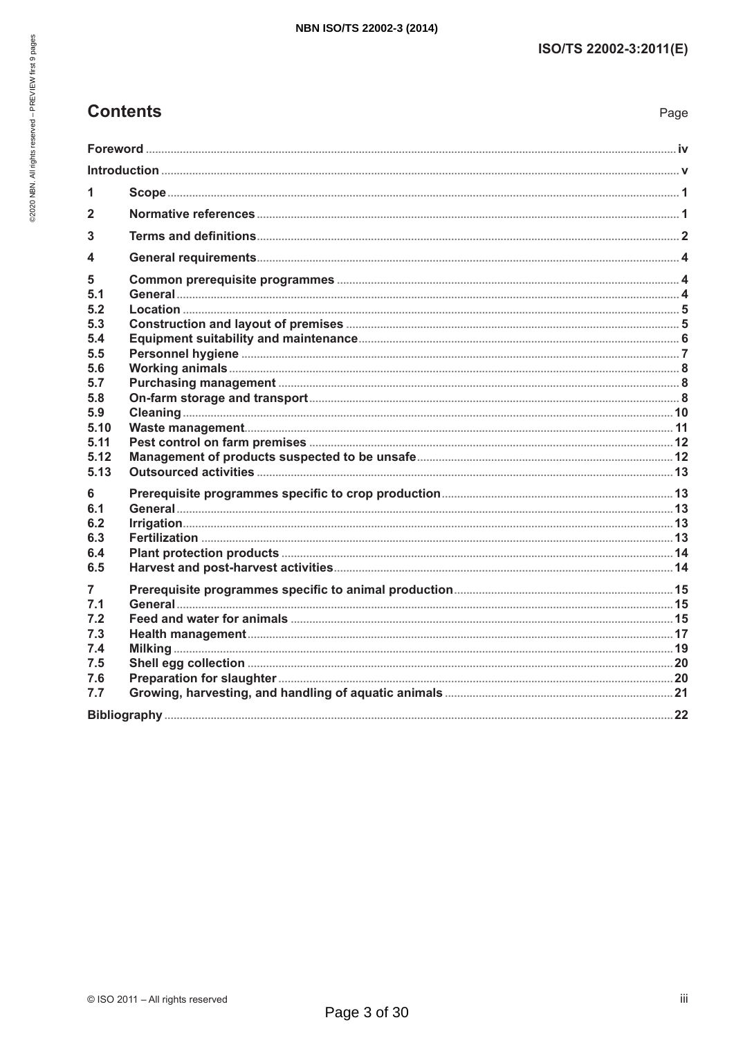Page

### **Contents**

| 1            |  |  |  |
|--------------|--|--|--|
| $\mathbf{2}$ |  |  |  |
| 3            |  |  |  |
| 4            |  |  |  |
|              |  |  |  |
| 5<br>5.1     |  |  |  |
| 5.2          |  |  |  |
| 5.3          |  |  |  |
| 5.4          |  |  |  |
| 5.5<br>5.6   |  |  |  |
| 5.7          |  |  |  |
| 5.8          |  |  |  |
| 5.9          |  |  |  |
| 5.10<br>5.11 |  |  |  |
| 5.12         |  |  |  |
| 5.13         |  |  |  |
| 6            |  |  |  |
| 6.1          |  |  |  |
| 6.2          |  |  |  |
| 6.3<br>6.4   |  |  |  |
| 6.5          |  |  |  |
| 7            |  |  |  |
| 7.1          |  |  |  |
| 7.2          |  |  |  |
| 7.3          |  |  |  |
| 7.4<br>7.5   |  |  |  |
| 7.6          |  |  |  |
| 7.7          |  |  |  |
|              |  |  |  |
|              |  |  |  |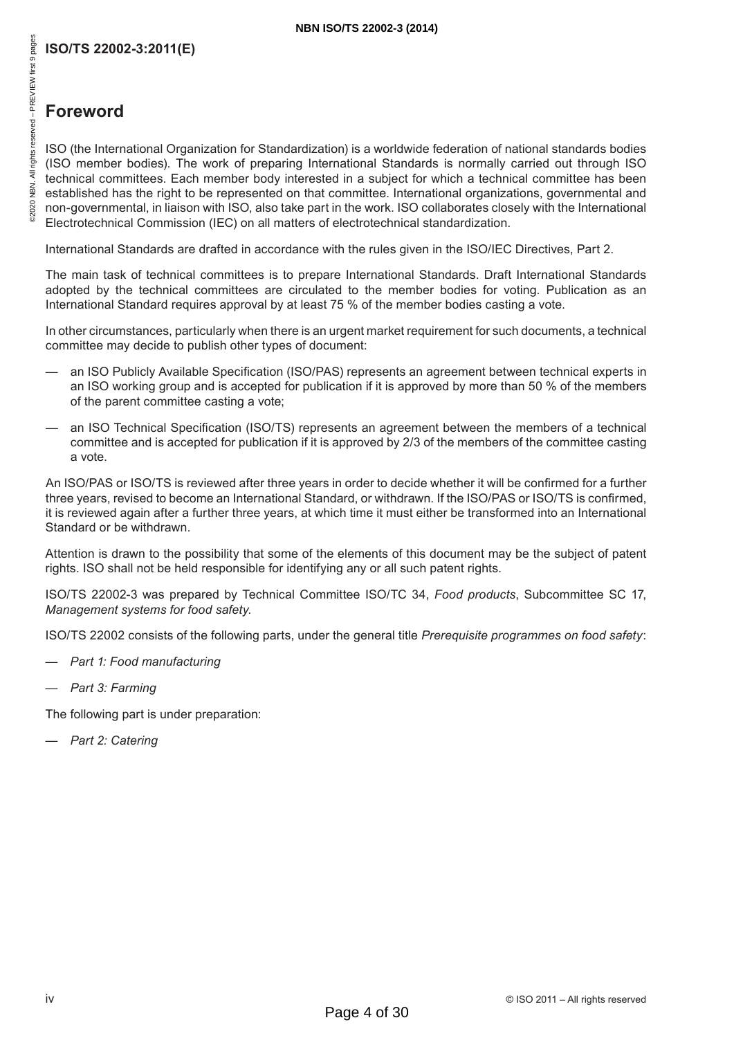## **Foreword**

ISO (the International Organization for Standardization) is a worldwide federation of national standards bodies (ISO member bodies). The work of preparing International Standards is normally carried out through ISO technical committees. Each member body interested in a subject for which a technical committee has been established has the right to be represented on that committee. International organizations, governmental and non-governmental, in liaison with ISO, also take part in the work. ISO collaborates closely with the International Electrotechnical Commission (IEC) on all matters of electrotechnical standardization.

International Standards are drafted in accordance with the rules given in the ISO/IEC Directives, Part 2.

The main task of technical committees is to prepare International Standards. Draft International Standards adopted by the technical committees are circulated to the member bodies for voting. Publication as an International Standard requires approval by at least 75 % of the member bodies casting a vote.

In other circumstances, particularly when there is an urgent market requirement for such documents, a technical committee may decide to publish other types of document:

- an ISO Publicly Available Specification (ISO/PAS) represents an agreement between technical experts in an ISO working group and is accepted for publication if it is approved by more than 50 % of the members of the parent committee casting a vote;
- an ISO Technical Specification (ISO/TS) represents an agreement between the members of a technical committee and is accepted for publication if it is approved by 2/3 of the members of the committee casting a vote.

An ISO/PAS or ISO/TS is reviewed after three years in order to decide whether it will be confirmed for a further three years, revised to become an International Standard, or withdrawn. If the ISO/PAS or ISO/TS is confirmed, it is reviewed again after a further three years, at which time it must either be transformed into an International Standard or be withdrawn.

Attention is drawn to the possibility that some of the elements of this document may be the subject of patent rights. ISO shall not be held responsible for identifying any or all such patent rights.

ISO/TS 22002-3 was prepared by Technical Committee ISO/TC 34, *Food products*, Subcommittee SC 17, *Management systems for food safety*.

ISO/TS 22002 consists of the following parts, under the general title *Prerequisite programmes on food safety*:

- *Part 1: Food manufacturing*
- *Part 3: Farming*

The following part is under preparation:

— *Part 2: Catering*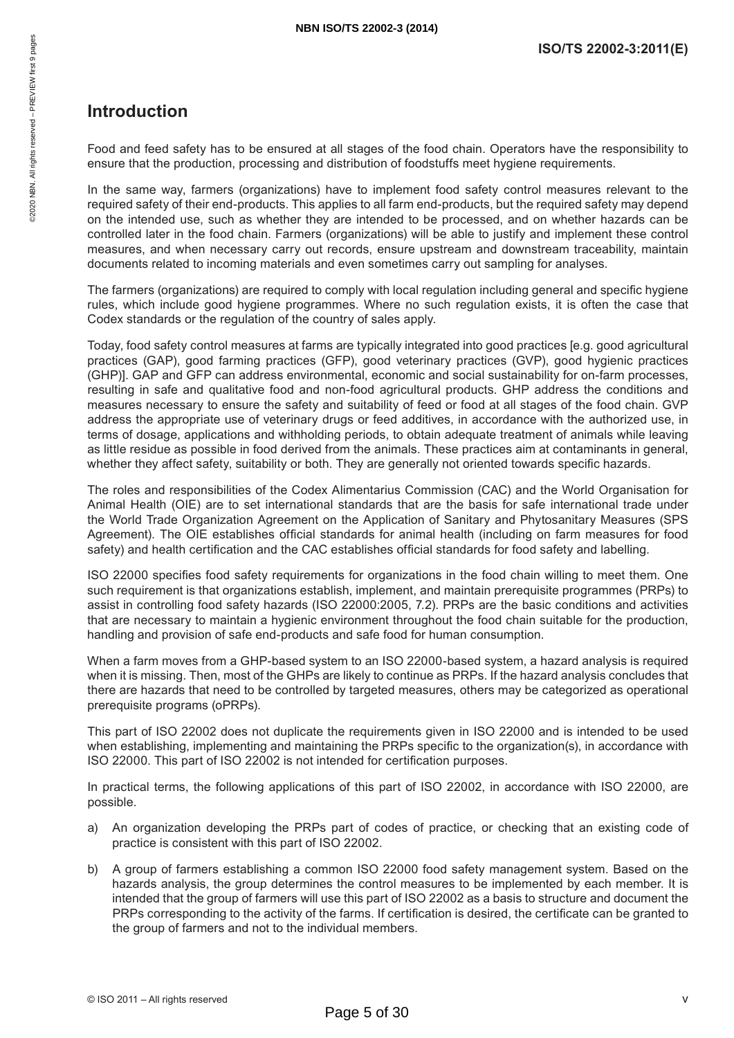#### **Introduction**

Food and feed safety has to be ensured at all stages of the food chain. Operators have the responsibility to ensure that the production, processing and distribution of foodstuffs meet hygiene requirements.

In the same way, farmers (organizations) have to implement food safety control measures relevant to the required safety of their end-products. This applies to all farm end-products, but the required safety may depend on the intended use, such as whether they are intended to be processed, and on whether hazards can be controlled later in the food chain. Farmers (organizations) will be able to justify and implement these control measures, and when necessary carry out records, ensure upstream and downstream traceability, maintain documents related to incoming materials and even sometimes carry out sampling for analyses.

The farmers (organizations) are required to comply with local regulation including general and specific hygiene rules, which include good hygiene programmes. Where no such regulation exists, it is often the case that Codex standards or the regulation of the country of sales apply.

Today, food safety control measures at farms are typically integrated into good practices [e.g. good agricultural practices (GAP), good farming practices (GFP), good veterinary practices (GVP), good hygienic practices (GHP)]. GAP and GFP can address environmental, economic and social sustainability for on-farm processes, resulting in safe and qualitative food and non-food agricultural products. GHP address the conditions and measures necessary to ensure the safety and suitability of feed or food at all stages of the food chain. GVP address the appropriate use of veterinary drugs or feed additives, in accordance with the authorized use, in terms of dosage, applications and withholding periods, to obtain adequate treatment of animals while leaving as little residue as possible in food derived from the animals. These practices aim at contaminants in general, whether they affect safety, suitability or both. They are generally not oriented towards specific hazards.

The roles and responsibilities of the Codex Alimentarius Commission (CAC) and the World Organisation for Animal Health (OIE) are to set international standards that are the basis for safe international trade under the World Trade Organization Agreement on the Application of Sanitary and Phytosanitary Measures (SPS Agreement). The OIE establishes official standards for animal health (including on farm measures for food safety) and health certification and the CAC establishes official standards for food safety and labelling.

ISO 22000 specifies food safety requirements for organizations in the food chain willing to meet them. One such requirement is that organizations establish, implement, and maintain prerequisite programmes (PRPs) to assist in controlling food safety hazards (ISO 22000:2005, 7.2). PRPs are the basic conditions and activities that are necessary to maintain a hygienic environment throughout the food chain suitable for the production, handling and provision of safe end-products and safe food for human consumption.

When a farm moves from a GHP-based system to an ISO 22000-based system, a hazard analysis is required when it is missing. Then, most of the GHPs are likely to continue as PRPs. If the hazard analysis concludes that there are hazards that need to be controlled by targeted measures, others may be categorized as operational prerequisite programs (oPRPs).

This part of ISO 22002 does not duplicate the requirements given in ISO 22000 and is intended to be used when establishing, implementing and maintaining the PRPs specific to the organization(s), in accordance with ISO 22000. This part of ISO 22002 is not intended for certification purposes.

In practical terms, the following applications of this part of ISO 22002, in accordance with ISO 22000, are possible.

- a) An organization developing the PRPs part of codes of practice, or checking that an existing code of practice is consistent with this part of ISO 22002.
- b) A group of farmers establishing a common ISO 22000 food safety management system. Based on the hazards analysis, the group determines the control measures to be implemented by each member. It is intended that the group of farmers will use this part of ISO 22002 as a basis to structure and document the PRPs corresponding to the activity of the farms. If certification is desired, the certificate can be granted to the group of farmers and not to the individual members.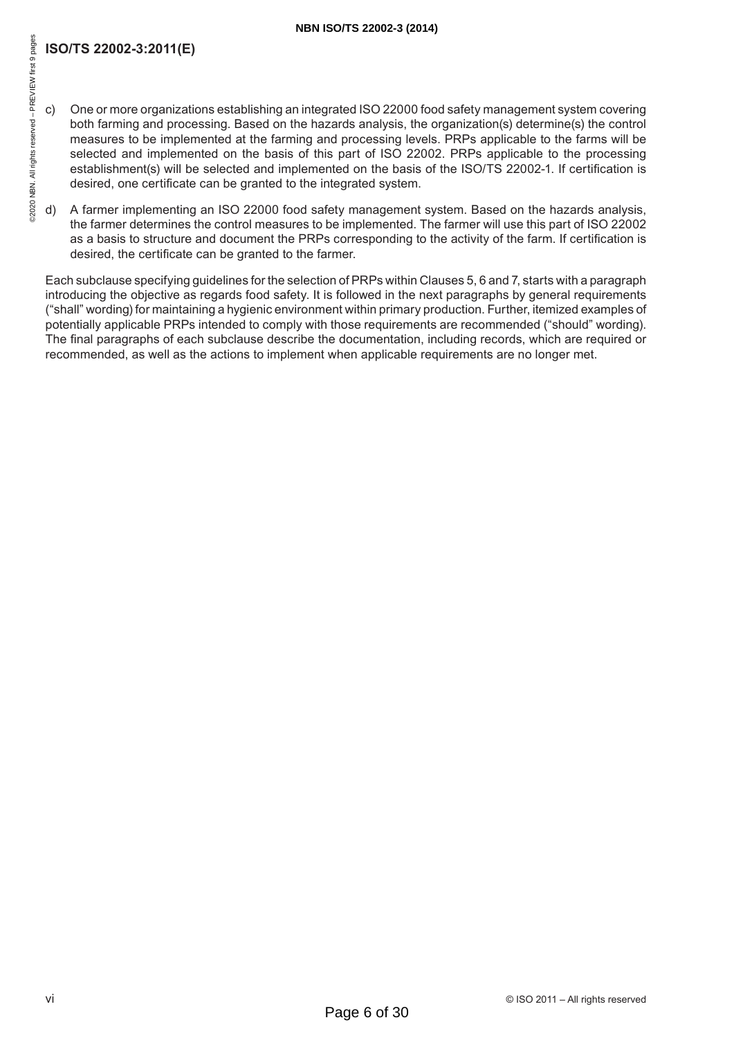#### **NBN ISO/TS 22002-3 (2014)**

### **ISO/TS 22002-3:2011(E)**

- c) One or more organizations establishing an integrated ISO 22000 food safety management system covering both farming and processing. Based on the hazards analysis, the organization(s) determine(s) the control measures to be implemented at the farming and processing levels. PRPs applicable to the farms will be selected and implemented on the basis of this part of ISO 22002. PRPs applicable to the processing establishment(s) will be selected and implemented on the basis of the ISO/TS 22002-1. If certification is desired, one certificate can be granted to the integrated system.
- d) A farmer implementing an ISO 22000 food safety management system. Based on the hazards analysis, the farmer determines the control measures to be implemented. The farmer will use this part of ISO 22002 as a basis to structure and document the PRPs corresponding to the activity of the farm. If certification is desired, the certificate can be granted to the farmer.

Each subclause specifying guidelines for the selection of PRPs within Clauses 5, 6 and 7, starts with a paragraph introducing the objective as regards food safety. It is followed in the next paragraphs by general requirements ("shall" wording) for maintaining a hygienic environment within primary production. Further, itemized examples of potentially applicable PRPs intended to comply with those requirements are recommended ("should" wording). The final paragraphs of each subclause describe the documentation, including records, which are required or recommended, as well as the actions to implement when applicable requirements are no longer met.